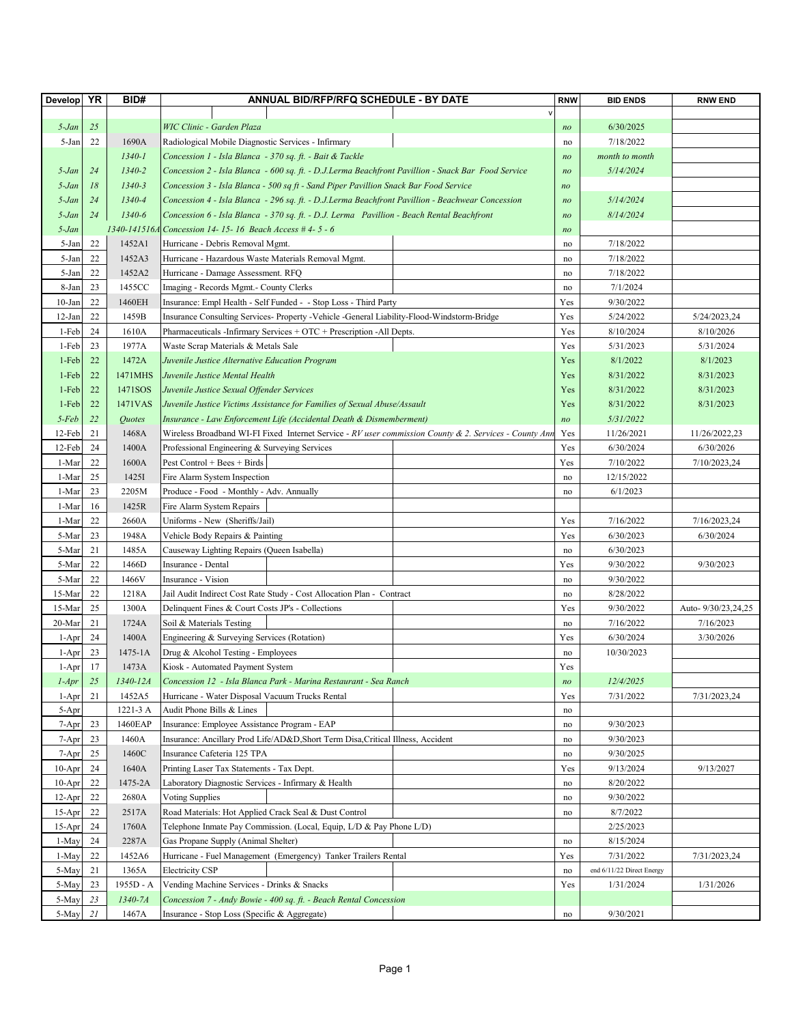| <b>Develop</b> | YR | BID#               | ANNUAL BID/RFP/RFQ SCHEDULE - BY DATE                                                                  | <b>RNW</b>     | <b>BID ENDS</b>           | <b>RNW END</b>      |
|----------------|----|--------------------|--------------------------------------------------------------------------------------------------------|----------------|---------------------------|---------------------|
|                |    |                    |                                                                                                        |                |                           |                     |
| $5$ -Jan       | 25 |                    | WIC Clinic - Garden Plaza                                                                              | no             | 6/30/2025                 |                     |
| 5-Jan          | 22 | 1690A              | Radiological Mobile Diagnostic Services - Infirmary                                                    | no             | 7/18/2022                 |                     |
|                |    | $1340 - 1$         | Concession 1 - Isla Blanca - 370 sq. ft. - Bait & Tackle                                               | n <sub>O</sub> | month to month            |                     |
| 5-Jan          | 24 | 1340-2             | Concession 2 - Isla Blanca - 600 sq. ft. - D.J.Lerma Beachfront Pavillion - Snack Bar Food Service     | n <sub>O</sub> | 5/14/2024                 |                     |
| 5-Jan          | 18 | $1340 - 3$         | Concession 3 - Isla Blanca - 500 sq ft - Sand Piper Pavillion Snack Bar Food Service                   | n <sub>O</sub> |                           |                     |
| 5-Jan          | 24 | 1340-4             | Concession 4 - Isla Blanca - 296 sq. ft. - D.J.Lerma Beachfront Pavillion - Beachwear Concession       | n <sub>O</sub> | 5/14/2024                 |                     |
| 5-Jan          | 24 | 1340-6             | Concession 6 - Isla Blanca - 370 sq. ft. - D.J. Lerma Pavillion - Beach Rental Beachfront              | no             | 8/14/2024                 |                     |
| 5-Jan          |    | 1340-141516.       | Concession 14-15-16 Beach Access #4-5-6                                                                | no             |                           |                     |
| 5-Jan          | 22 | 1452A1             | Hurricane - Debris Removal Mgmt.                                                                       |                | 7/18/2022                 |                     |
| 5-Jan          | 22 | 1452A3             | Hurricane - Hazardous Waste Materials Removal Mgmt.                                                    | no             | 7/18/2022                 |                     |
| 5-Jan          | 22 | 1452A2             |                                                                                                        | no             |                           |                     |
| 8-Jan          | 23 | 1455CC             | Hurricane - Damage Assessment. RFQ                                                                     | no             | 7/18/2022                 |                     |
|                |    |                    | Imaging - Records Mgmt.- County Clerks                                                                 | no             | 7/1/2024                  |                     |
| $10-Ian$       | 22 | 1460EH             | Insurance: Empl Health - Self Funded - - Stop Loss - Third Party                                       | Yes            | 9/30/2022                 |                     |
| $12-Ian$       | 22 | 1459B              | Insurance Consulting Services- Property -Vehicle -General Liability-Flood-Windstorm-Bridge             | Yes            | 5/24/2022                 | 5/24/2023,24        |
| 1-Feb          | 24 | 1610A              | Pharmaceuticals - Infirmary Services + OTC + Prescription - All Depts.                                 | Yes            | 8/10/2024                 | 8/10/2026           |
| 1-Feb          | 23 | 1977A              | Waste Scrap Materials & Metals Sale                                                                    | Yes            | 5/31/2023                 | 5/31/2024           |
| 1-Feb          | 22 | 1472A              | Juvenile Justice Alternative Education Program                                                         | Yes            | 8/1/2022                  | 8/1/2023            |
| 1-Feb          | 22 | 1471MHS            | Juvenile Justice Mental Health                                                                         | Yes            | 8/31/2022                 | 8/31/2023           |
| 1-Feb          | 22 | 1471SOS            | Juvenile Justice Sexual Offender Services                                                              | Yes            | 8/31/2022                 | 8/31/2023           |
| 1-Feb          | 22 | 1471VAS            | Juvenile Justice Victims Assistance for Families of Sexual Abuse/Assault                               | Yes            | 8/31/2022                 | 8/31/2023           |
| $5$ -Feb       | 22 | Quotes             | Insurance - Law Enforcement Life (Accidental Death & Dismemberment)                                    | n <sub>O</sub> | 5/31/2022                 |                     |
| 12-Feb         | 21 | 1468A              | Wireless Broadband WI-FI Fixed Internet Service - RV user commission County & 2. Services - County Ann | Yes            | 11/26/2021                | 11/26/2022,23       |
| 12-Feb         | 24 | 1400A              | Professional Engineering & Surveying Services                                                          | Yes            | 6/30/2024                 | 6/30/2026           |
| 1-Mar          | 22 | 1600A              | Pest Control + Bees + Birds                                                                            | Yes            | 7/10/2022                 | 7/10/2023,24        |
| 1-Mar          | 25 | 1425I              | Fire Alarm System Inspection                                                                           | no             | 12/15/2022                |                     |
| 1-Mar          | 23 | 2205M              | Produce - Food - Monthly - Adv. Annually                                                               | no             | 6/1/2023                  |                     |
| 1-Mar          | 16 | 1425R              | Fire Alarm System Repairs                                                                              |                |                           |                     |
| 1-Mar          | 22 | 2660A              | Uniforms - New (Sheriffs/Jail)                                                                         | Yes            | 7/16/2022                 | 7/16/2023,24        |
| 5-Mar          | 23 | 1948A              | Vehicle Body Repairs & Painting                                                                        | Yes            | 6/30/2023                 | 6/30/2024           |
| 5-Mar          | 21 | 1485A              | Causeway Lighting Repairs (Queen Isabella)                                                             | no             | 6/30/2023                 |                     |
| 5-Mar          | 22 | 1466D              | Insurance - Dental                                                                                     | Yes            | 9/30/2022                 | 9/30/2023           |
| 5-Mar          | 22 | 1466V              | Insurance - Vision                                                                                     | no             | 9/30/2022                 |                     |
| 15-Mar         | 22 | 1218A              | Jail Audit Indirect Cost Rate Study - Cost Allocation Plan - Contract                                  | no             | 8/28/2022                 |                     |
| 15-Mar         | 25 | 1300A              | Delinquent Fines & Court Costs JP's - Collections                                                      | Yes            | 9/30/2022                 | Auto- 9/30/23,24,25 |
| 20-Mar         | 21 | 1724A              | Soil & Materials Testing                                                                               | no             | 7/16/2022                 | 7/16/2023           |
| $1-Apr$        | 24 | 1400A              | Engineering & Surveying Services (Rotation)                                                            | Yes            | 6/30/2024                 | 3/30/2026           |
| 1-Apr          | 23 | $1475 - 1A$        | Drug & Alcohol Testing - Employees                                                                     | no             | 10/30/2023                |                     |
|                | 17 | 1473A              | Kiosk - Automated Payment System                                                                       | Yes            |                           |                     |
| 1-Apr          | 25 | 1340-12A           |                                                                                                        |                | 12/4/2025                 |                     |
| $1-Apr$        |    |                    | Concession 12 - Isla Blanca Park - Marina Restaurant - Sea Ranch                                       | no             |                           |                     |
| 1-Apr          | 21 | 1452A5<br>1221-3 A | Hurricane - Water Disposal Vacuum Trucks Rental<br>Audit Phone Bills & Lines                           | Yes            | 7/31/2022                 | 7/31/2023,24        |
| 5-Apr          |    |                    |                                                                                                        | no             |                           |                     |
| 7-Apr          | 23 | 1460EAP            | Insurance: Employee Assistance Program - EAP                                                           | no             | 9/30/2023                 |                     |
| 7-Apr          | 23 | 1460A              | Insurance: Ancillary Prod Life/AD&D, Short Term Disa, Critical Illness, Accident                       | no             | 9/30/2023                 |                     |
| 7-Apr          | 25 | 1460C              | Insurance Cafeteria 125 TPA                                                                            | no             | 9/30/2025                 |                     |
| $10-Apr$       | 24 | 1640A              | Printing Laser Tax Statements - Tax Dept.                                                              | Yes            | 9/13/2024                 | 9/13/2027           |
| $10-Apr$       | 22 | 1475-2A            | Laboratory Diagnostic Services - Infirmary & Health                                                    | no             | 8/20/2022                 |                     |
| $12-Apr$       | 22 | 2680A              | <b>Voting Supplies</b>                                                                                 | no             | 9/30/2022                 |                     |
| $15-Apr$       | 22 | 2517A              | Road Materials: Hot Applied Crack Seal & Dust Control                                                  | no             | 8/7/2022                  |                     |
| $15-Apr$       | 24 | 1760A              | Telephone Inmate Pay Commission. (Local, Equip, L/D & Pay Phone L/D)                                   |                | 2/25/2023                 |                     |
| 1-May          | 24 | 2287A              | Gas Propane Supply (Animal Shelter)                                                                    | no             | 8/15/2024                 |                     |
| 1-May          | 22 | 1452A6             | Hurricane - Fuel Management (Emergency) Tanker Trailers Rental                                         | Yes            | 7/31/2022                 | 7/31/2023,24        |
| 5-May          | 21 | 1365A              | Electricity CSP                                                                                        | no             | end 6/11/22 Direct Energy |                     |
| 5-May          | 23 | 1955D - A          | Vending Machine Services - Drinks & Snacks                                                             | Yes            | 1/31/2024                 | 1/31/2026           |
| 5-May          | 23 | $1340 - 7A$        | Concession 7 - Andy Bowie - 400 sq. ft. - Beach Rental Concession                                      |                |                           |                     |
| 5-May          | 21 | 1467A              | Insurance - Stop Loss (Specific & Aggregate)                                                           | no             | 9/30/2021                 |                     |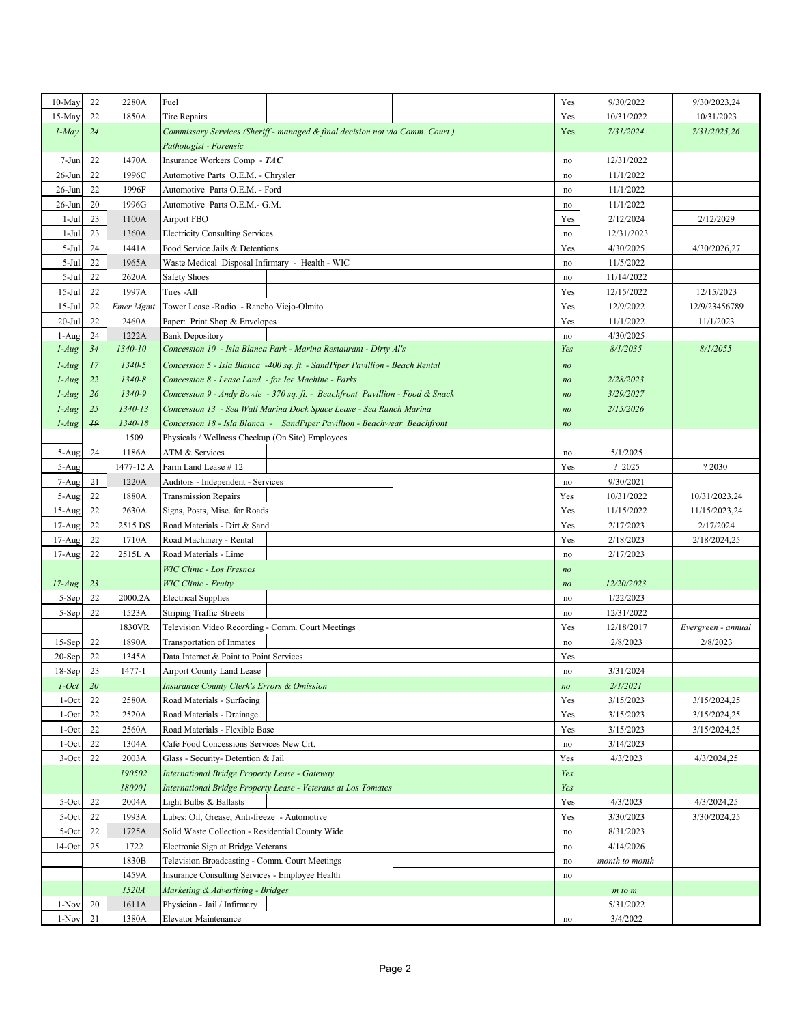| $15-May$<br>22<br>1850A<br>10/31/2022<br>10/31/2023<br>Tire Repairs<br>Yes<br>$1$ -May<br>7/31/2025,26<br>24<br>Commissary Services (Sheriff - managed & final decision not via Comm. Court)<br>Yes<br>7/31/2024<br>Pathologist - Forensic<br>22<br>1470A<br>Insurance Workers Comp - TAC<br>12/31/2022<br>7-Jun<br>no<br>$26 - Jun$<br>22<br>1996C<br>11/1/2022<br>Automotive Parts O.E.M. - Chrysler<br>no<br>22<br>1996F<br>$26$ -Jun<br>Automotive Parts O.E.M. - Ford<br>11/1/2022<br>no<br>$26$ -Jun<br>20<br>1996G<br>Automotive Parts O.E.M.- G.M.<br>11/1/2022<br>no<br>$1-Jul$<br>23<br>1100A<br>Airport FBO<br>2/12/2024<br>2/12/2029<br>Yes<br>$1-Jul$<br>23<br>1360A<br><b>Electricity Consulting Services</b><br>12/31/2023<br>no<br>$5-Jul$<br>24<br>1441A<br>Food Service Jails & Detentions<br>Yes<br>4/30/2025<br>4/30/2026,27<br>22<br>1965A<br>5-Jul<br>Waste Medical Disposal Infirmary - Health - WIC<br>11/5/2022<br>no<br>22<br>5-Jul<br>2620A<br><b>Safety Shoes</b><br>11/14/2022<br>no<br>22<br>$15-Jul$<br>1997A<br>Tires - All<br>12/15/2023<br>Yes<br>12/15/2022<br>$15-Jul$<br>22<br>Emer Mgmt<br>12/9/2022<br>Tower Lease - Radio - Rancho Viejo-Olmito<br>Yes<br>12/9/23456789<br>$20 -$ Jul<br>22<br>2460A<br>11/1/2022<br>11/1/2023<br>Paper: Print Shop & Envelopes<br>Yes<br>1-Aug<br>24<br>1222A<br>4/30/2025<br><b>Bank Depository</b><br>no<br>1340-10<br>$1-Aug$<br>34<br>Concession 10 - Isla Blanca Park - Marina Restaurant - Dirty Al's<br>8/1/2035<br>8/1/2055<br>Yes<br>$1340 - 5$<br>$1-Au$ g<br>17<br>Concession 5 - Isla Blanca -400 sq. ft. - SandPiper Pavillion - Beach Rental<br>n <sub>O</sub><br>22<br>$1340 - 8$<br>$1-Au$ g<br>Concession 8 - Lease Land - for Ice Machine - Parks<br>2/28/2023<br>n <sub>O</sub><br>26<br>1340-9<br>3/29/2027<br>$1$ -Aug<br>Concession 9 - Andy Bowie - 370 sq. ft. - Beachfront Pavillion - Food & Snack<br>n <sub>O</sub><br>25<br>1340-13<br>$1$ -Aug<br>Concession 13 - Sea Wall Marina Dock Space Lease - Sea Ranch Marina<br>2/15/2026<br>n <sub>O</sub><br>$\overline{19}$<br>1340-18<br>Concession 18 - Isla Blanca - SandPiper Pavillion - Beachwear Beachfront<br>$1-Aug$<br>n <sub>O</sub><br>1509<br>Physicals / Wellness Checkup (On Site) Employees<br>24<br>1186A<br>ATM & Services<br>5/1/2025<br>5-Aug<br>no<br>1477-12 A<br>Farm Land Lease #12<br>Yes<br>? 2025<br>? 2030<br>5-Aug<br>1220A<br>9/30/2021<br>7-Aug<br>21<br>Auditors - Independent - Services<br>no<br>22<br>1880A<br>10/31/2022<br>5-Aug<br><b>Transmission Repairs</b><br>Yes<br>10/31/2023,24<br>22<br>2630A<br>11/15/2022<br>$15-Aug$<br>Signs, Posts, Misc. for Roads<br>Yes<br>11/15/2023,24<br>22<br>2515 DS<br>Yes<br>2/17/2023<br>2/17/2024<br>$17-Aug$<br>Road Materials - Dirt & Sand<br>22<br>2/18/2024,25<br>$17-Aug$<br>1710A<br>Road Machinery - Rental<br>Yes<br>2/18/2023<br>22<br>$17-Aug$<br>2515L A<br>Road Materials - Lime<br>2/17/2023<br>$\operatorname{no}$<br><b>WIC Clinic - Los Fresnos</b><br>no<br>$17$ - $Aug$<br>23<br>WIC Clinic - Fruity<br>12/20/2023<br>no<br>22<br><b>Electrical Supplies</b><br>1/22/2023<br>5-Sep<br>2000.2A<br>no<br>22<br>5-Sep<br>1523A<br><b>Striping Traffic Streets</b><br>12/31/2022<br>no<br>1830VR<br>Television Video Recording - Comm. Court Meetings<br>12/18/2017<br>Yes<br>Evergreen - annual<br>22<br>1890A<br>Transportation of Inmates<br>2/8/2023<br>2/8/2023<br>$15-Sep$<br>no<br>22<br>$20-Sep$<br>1345A<br>Data Internet & Point to Point Services<br>Yes<br>23<br>$18-Sep$<br>1477-1<br>3/31/2024<br>Airport County Land Lease  <br>$\operatorname{no}$<br><b>20</b><br><b>Insurance County Clerk's Errors &amp; Omission</b><br>2/1/2021<br>$1$ -Oct<br>n <sub>O</sub><br>2580A<br>Road Materials - Surfacing<br>3/15/2023<br>3/15/2024,25<br>$1-Oct$<br>22<br>Yes<br>$1-Oct$<br>22<br>2520A<br>Yes<br>3/15/2023<br>3/15/2024,25<br>Road Materials - Drainage<br>$1-Oct$<br>22<br>2560A<br>Road Materials - Flexible Base<br>Yes<br>3/15/2023<br>3/15/2024,25<br>22<br>1304A<br>3/14/2023<br>$1-Oct$<br>Cafe Food Concessions Services New Crt.<br>no<br>$3-Oct$<br>22<br>2003A<br>Glass - Security- Detention & Jail<br>4/3/2023<br>4/3/2024,25<br>Yes<br>190502<br>International Bridge Property Lease - Gateway<br>Yes<br>180901<br>International Bridge Property Lease - Veterans at Los Tomates<br>Yes<br>4/3/2024,25<br>22<br>2004A<br>Light Bulbs & Ballasts<br>Yes<br>4/3/2023<br>5-Oct<br>5-Oct<br>22<br>1993A<br>Lubes: Oil, Grease, Anti-freeze - Automotive<br>3/30/2023<br>3/30/2024,25<br>Yes<br>5-Oct<br>22<br>1725A<br>Solid Waste Collection - Residential County Wide<br>8/31/2023<br>no<br>$14$ -Oct<br>25<br>1722<br>Electronic Sign at Bridge Veterans<br>4/14/2026<br>no<br>Television Broadcasting - Comm. Court Meetings<br>1830B<br>month to month<br>no<br>1459A<br>Insurance Consulting Services - Employee Health<br>no<br>1520A<br>Marketing & Advertising - Bridges<br>$m$ to $m$<br>20<br>1611A<br>Physician - Jail / Infirmary<br>1-Nov<br>5/31/2022<br>1-Nov<br>21<br>1380A<br>3/4/2022<br>Elevator Maintenance<br>$\rm{no}$ | $10-May$ | 22 | 2280A | Fuel | Yes | 9/30/2022 | 9/30/2023,24 |
|---------------------------------------------------------------------------------------------------------------------------------------------------------------------------------------------------------------------------------------------------------------------------------------------------------------------------------------------------------------------------------------------------------------------------------------------------------------------------------------------------------------------------------------------------------------------------------------------------------------------------------------------------------------------------------------------------------------------------------------------------------------------------------------------------------------------------------------------------------------------------------------------------------------------------------------------------------------------------------------------------------------------------------------------------------------------------------------------------------------------------------------------------------------------------------------------------------------------------------------------------------------------------------------------------------------------------------------------------------------------------------------------------------------------------------------------------------------------------------------------------------------------------------------------------------------------------------------------------------------------------------------------------------------------------------------------------------------------------------------------------------------------------------------------------------------------------------------------------------------------------------------------------------------------------------------------------------------------------------------------------------------------------------------------------------------------------------------------------------------------------------------------------------------------------------------------------------------------------------------------------------------------------------------------------------------------------------------------------------------------------------------------------------------------------------------------------------------------------------------------------------------------------------------------------------------------------------------------------------------------------------------------------------------------------------------------------------------------------------------------------------------------------------------------------------------------------------------------------------------------------------------------------------------------------------------------------------------------------------------------------------------------------------------------------------------------------------------------------------------------------------------------------------------------------------------------------------------------------------------------------------------------------------------------------------------------------------------------------------------------------------------------------------------------------------------------------------------------------------------------------------------------------------------------------------------------------------------------------------------------------------------------------------------------------------------------------------------------------------------------------------------------------------------------------------------------------------------------------------------------------------------------------------------------------------------------------------------------------------------------------------------------------------------------------------------------------------------------------------------------------------------------------------------------------------------------------------------------------------------------------------------------------------------------------------------------------------------------------------------------------------------------------------------------------------------------------------------------------------------------------------------------------------------------------------------------------------------------------------------------------------------------------------------------------------------------------------------------------------------------------------------------------------------------------------------------------------------------------------------------------------------------------------------------------------------------------------------------------------------------------------------------------------------------------------------------------------------------------------------------------|----------|----|-------|------|-----|-----------|--------------|
|                                                                                                                                                                                                                                                                                                                                                                                                                                                                                                                                                                                                                                                                                                                                                                                                                                                                                                                                                                                                                                                                                                                                                                                                                                                                                                                                                                                                                                                                                                                                                                                                                                                                                                                                                                                                                                                                                                                                                                                                                                                                                                                                                                                                                                                                                                                                                                                                                                                                                                                                                                                                                                                                                                                                                                                                                                                                                                                                                                                                                                                                                                                                                                                                                                                                                                                                                                                                                                                                                                                                                                                                                                                                                                                                                                                                                                                                                                                                                                                                                                                                                                                                                                                                                                                                                                                                                                                                                                                                                                                                                                                                                                                                                                                                                                                                                                                                                                                                                                                                                                                                                                                           |          |    |       |      |     |           |              |
|                                                                                                                                                                                                                                                                                                                                                                                                                                                                                                                                                                                                                                                                                                                                                                                                                                                                                                                                                                                                                                                                                                                                                                                                                                                                                                                                                                                                                                                                                                                                                                                                                                                                                                                                                                                                                                                                                                                                                                                                                                                                                                                                                                                                                                                                                                                                                                                                                                                                                                                                                                                                                                                                                                                                                                                                                                                                                                                                                                                                                                                                                                                                                                                                                                                                                                                                                                                                                                                                                                                                                                                                                                                                                                                                                                                                                                                                                                                                                                                                                                                                                                                                                                                                                                                                                                                                                                                                                                                                                                                                                                                                                                                                                                                                                                                                                                                                                                                                                                                                                                                                                                                           |          |    |       |      |     |           |              |
|                                                                                                                                                                                                                                                                                                                                                                                                                                                                                                                                                                                                                                                                                                                                                                                                                                                                                                                                                                                                                                                                                                                                                                                                                                                                                                                                                                                                                                                                                                                                                                                                                                                                                                                                                                                                                                                                                                                                                                                                                                                                                                                                                                                                                                                                                                                                                                                                                                                                                                                                                                                                                                                                                                                                                                                                                                                                                                                                                                                                                                                                                                                                                                                                                                                                                                                                                                                                                                                                                                                                                                                                                                                                                                                                                                                                                                                                                                                                                                                                                                                                                                                                                                                                                                                                                                                                                                                                                                                                                                                                                                                                                                                                                                                                                                                                                                                                                                                                                                                                                                                                                                                           |          |    |       |      |     |           |              |
|                                                                                                                                                                                                                                                                                                                                                                                                                                                                                                                                                                                                                                                                                                                                                                                                                                                                                                                                                                                                                                                                                                                                                                                                                                                                                                                                                                                                                                                                                                                                                                                                                                                                                                                                                                                                                                                                                                                                                                                                                                                                                                                                                                                                                                                                                                                                                                                                                                                                                                                                                                                                                                                                                                                                                                                                                                                                                                                                                                                                                                                                                                                                                                                                                                                                                                                                                                                                                                                                                                                                                                                                                                                                                                                                                                                                                                                                                                                                                                                                                                                                                                                                                                                                                                                                                                                                                                                                                                                                                                                                                                                                                                                                                                                                                                                                                                                                                                                                                                                                                                                                                                                           |          |    |       |      |     |           |              |
|                                                                                                                                                                                                                                                                                                                                                                                                                                                                                                                                                                                                                                                                                                                                                                                                                                                                                                                                                                                                                                                                                                                                                                                                                                                                                                                                                                                                                                                                                                                                                                                                                                                                                                                                                                                                                                                                                                                                                                                                                                                                                                                                                                                                                                                                                                                                                                                                                                                                                                                                                                                                                                                                                                                                                                                                                                                                                                                                                                                                                                                                                                                                                                                                                                                                                                                                                                                                                                                                                                                                                                                                                                                                                                                                                                                                                                                                                                                                                                                                                                                                                                                                                                                                                                                                                                                                                                                                                                                                                                                                                                                                                                                                                                                                                                                                                                                                                                                                                                                                                                                                                                                           |          |    |       |      |     |           |              |
|                                                                                                                                                                                                                                                                                                                                                                                                                                                                                                                                                                                                                                                                                                                                                                                                                                                                                                                                                                                                                                                                                                                                                                                                                                                                                                                                                                                                                                                                                                                                                                                                                                                                                                                                                                                                                                                                                                                                                                                                                                                                                                                                                                                                                                                                                                                                                                                                                                                                                                                                                                                                                                                                                                                                                                                                                                                                                                                                                                                                                                                                                                                                                                                                                                                                                                                                                                                                                                                                                                                                                                                                                                                                                                                                                                                                                                                                                                                                                                                                                                                                                                                                                                                                                                                                                                                                                                                                                                                                                                                                                                                                                                                                                                                                                                                                                                                                                                                                                                                                                                                                                                                           |          |    |       |      |     |           |              |
|                                                                                                                                                                                                                                                                                                                                                                                                                                                                                                                                                                                                                                                                                                                                                                                                                                                                                                                                                                                                                                                                                                                                                                                                                                                                                                                                                                                                                                                                                                                                                                                                                                                                                                                                                                                                                                                                                                                                                                                                                                                                                                                                                                                                                                                                                                                                                                                                                                                                                                                                                                                                                                                                                                                                                                                                                                                                                                                                                                                                                                                                                                                                                                                                                                                                                                                                                                                                                                                                                                                                                                                                                                                                                                                                                                                                                                                                                                                                                                                                                                                                                                                                                                                                                                                                                                                                                                                                                                                                                                                                                                                                                                                                                                                                                                                                                                                                                                                                                                                                                                                                                                                           |          |    |       |      |     |           |              |
|                                                                                                                                                                                                                                                                                                                                                                                                                                                                                                                                                                                                                                                                                                                                                                                                                                                                                                                                                                                                                                                                                                                                                                                                                                                                                                                                                                                                                                                                                                                                                                                                                                                                                                                                                                                                                                                                                                                                                                                                                                                                                                                                                                                                                                                                                                                                                                                                                                                                                                                                                                                                                                                                                                                                                                                                                                                                                                                                                                                                                                                                                                                                                                                                                                                                                                                                                                                                                                                                                                                                                                                                                                                                                                                                                                                                                                                                                                                                                                                                                                                                                                                                                                                                                                                                                                                                                                                                                                                                                                                                                                                                                                                                                                                                                                                                                                                                                                                                                                                                                                                                                                                           |          |    |       |      |     |           |              |
|                                                                                                                                                                                                                                                                                                                                                                                                                                                                                                                                                                                                                                                                                                                                                                                                                                                                                                                                                                                                                                                                                                                                                                                                                                                                                                                                                                                                                                                                                                                                                                                                                                                                                                                                                                                                                                                                                                                                                                                                                                                                                                                                                                                                                                                                                                                                                                                                                                                                                                                                                                                                                                                                                                                                                                                                                                                                                                                                                                                                                                                                                                                                                                                                                                                                                                                                                                                                                                                                                                                                                                                                                                                                                                                                                                                                                                                                                                                                                                                                                                                                                                                                                                                                                                                                                                                                                                                                                                                                                                                                                                                                                                                                                                                                                                                                                                                                                                                                                                                                                                                                                                                           |          |    |       |      |     |           |              |
|                                                                                                                                                                                                                                                                                                                                                                                                                                                                                                                                                                                                                                                                                                                                                                                                                                                                                                                                                                                                                                                                                                                                                                                                                                                                                                                                                                                                                                                                                                                                                                                                                                                                                                                                                                                                                                                                                                                                                                                                                                                                                                                                                                                                                                                                                                                                                                                                                                                                                                                                                                                                                                                                                                                                                                                                                                                                                                                                                                                                                                                                                                                                                                                                                                                                                                                                                                                                                                                                                                                                                                                                                                                                                                                                                                                                                                                                                                                                                                                                                                                                                                                                                                                                                                                                                                                                                                                                                                                                                                                                                                                                                                                                                                                                                                                                                                                                                                                                                                                                                                                                                                                           |          |    |       |      |     |           |              |
|                                                                                                                                                                                                                                                                                                                                                                                                                                                                                                                                                                                                                                                                                                                                                                                                                                                                                                                                                                                                                                                                                                                                                                                                                                                                                                                                                                                                                                                                                                                                                                                                                                                                                                                                                                                                                                                                                                                                                                                                                                                                                                                                                                                                                                                                                                                                                                                                                                                                                                                                                                                                                                                                                                                                                                                                                                                                                                                                                                                                                                                                                                                                                                                                                                                                                                                                                                                                                                                                                                                                                                                                                                                                                                                                                                                                                                                                                                                                                                                                                                                                                                                                                                                                                                                                                                                                                                                                                                                                                                                                                                                                                                                                                                                                                                                                                                                                                                                                                                                                                                                                                                                           |          |    |       |      |     |           |              |
|                                                                                                                                                                                                                                                                                                                                                                                                                                                                                                                                                                                                                                                                                                                                                                                                                                                                                                                                                                                                                                                                                                                                                                                                                                                                                                                                                                                                                                                                                                                                                                                                                                                                                                                                                                                                                                                                                                                                                                                                                                                                                                                                                                                                                                                                                                                                                                                                                                                                                                                                                                                                                                                                                                                                                                                                                                                                                                                                                                                                                                                                                                                                                                                                                                                                                                                                                                                                                                                                                                                                                                                                                                                                                                                                                                                                                                                                                                                                                                                                                                                                                                                                                                                                                                                                                                                                                                                                                                                                                                                                                                                                                                                                                                                                                                                                                                                                                                                                                                                                                                                                                                                           |          |    |       |      |     |           |              |
|                                                                                                                                                                                                                                                                                                                                                                                                                                                                                                                                                                                                                                                                                                                                                                                                                                                                                                                                                                                                                                                                                                                                                                                                                                                                                                                                                                                                                                                                                                                                                                                                                                                                                                                                                                                                                                                                                                                                                                                                                                                                                                                                                                                                                                                                                                                                                                                                                                                                                                                                                                                                                                                                                                                                                                                                                                                                                                                                                                                                                                                                                                                                                                                                                                                                                                                                                                                                                                                                                                                                                                                                                                                                                                                                                                                                                                                                                                                                                                                                                                                                                                                                                                                                                                                                                                                                                                                                                                                                                                                                                                                                                                                                                                                                                                                                                                                                                                                                                                                                                                                                                                                           |          |    |       |      |     |           |              |
|                                                                                                                                                                                                                                                                                                                                                                                                                                                                                                                                                                                                                                                                                                                                                                                                                                                                                                                                                                                                                                                                                                                                                                                                                                                                                                                                                                                                                                                                                                                                                                                                                                                                                                                                                                                                                                                                                                                                                                                                                                                                                                                                                                                                                                                                                                                                                                                                                                                                                                                                                                                                                                                                                                                                                                                                                                                                                                                                                                                                                                                                                                                                                                                                                                                                                                                                                                                                                                                                                                                                                                                                                                                                                                                                                                                                                                                                                                                                                                                                                                                                                                                                                                                                                                                                                                                                                                                                                                                                                                                                                                                                                                                                                                                                                                                                                                                                                                                                                                                                                                                                                                                           |          |    |       |      |     |           |              |
|                                                                                                                                                                                                                                                                                                                                                                                                                                                                                                                                                                                                                                                                                                                                                                                                                                                                                                                                                                                                                                                                                                                                                                                                                                                                                                                                                                                                                                                                                                                                                                                                                                                                                                                                                                                                                                                                                                                                                                                                                                                                                                                                                                                                                                                                                                                                                                                                                                                                                                                                                                                                                                                                                                                                                                                                                                                                                                                                                                                                                                                                                                                                                                                                                                                                                                                                                                                                                                                                                                                                                                                                                                                                                                                                                                                                                                                                                                                                                                                                                                                                                                                                                                                                                                                                                                                                                                                                                                                                                                                                                                                                                                                                                                                                                                                                                                                                                                                                                                                                                                                                                                                           |          |    |       |      |     |           |              |
|                                                                                                                                                                                                                                                                                                                                                                                                                                                                                                                                                                                                                                                                                                                                                                                                                                                                                                                                                                                                                                                                                                                                                                                                                                                                                                                                                                                                                                                                                                                                                                                                                                                                                                                                                                                                                                                                                                                                                                                                                                                                                                                                                                                                                                                                                                                                                                                                                                                                                                                                                                                                                                                                                                                                                                                                                                                                                                                                                                                                                                                                                                                                                                                                                                                                                                                                                                                                                                                                                                                                                                                                                                                                                                                                                                                                                                                                                                                                                                                                                                                                                                                                                                                                                                                                                                                                                                                                                                                                                                                                                                                                                                                                                                                                                                                                                                                                                                                                                                                                                                                                                                                           |          |    |       |      |     |           |              |
|                                                                                                                                                                                                                                                                                                                                                                                                                                                                                                                                                                                                                                                                                                                                                                                                                                                                                                                                                                                                                                                                                                                                                                                                                                                                                                                                                                                                                                                                                                                                                                                                                                                                                                                                                                                                                                                                                                                                                                                                                                                                                                                                                                                                                                                                                                                                                                                                                                                                                                                                                                                                                                                                                                                                                                                                                                                                                                                                                                                                                                                                                                                                                                                                                                                                                                                                                                                                                                                                                                                                                                                                                                                                                                                                                                                                                                                                                                                                                                                                                                                                                                                                                                                                                                                                                                                                                                                                                                                                                                                                                                                                                                                                                                                                                                                                                                                                                                                                                                                                                                                                                                                           |          |    |       |      |     |           |              |
|                                                                                                                                                                                                                                                                                                                                                                                                                                                                                                                                                                                                                                                                                                                                                                                                                                                                                                                                                                                                                                                                                                                                                                                                                                                                                                                                                                                                                                                                                                                                                                                                                                                                                                                                                                                                                                                                                                                                                                                                                                                                                                                                                                                                                                                                                                                                                                                                                                                                                                                                                                                                                                                                                                                                                                                                                                                                                                                                                                                                                                                                                                                                                                                                                                                                                                                                                                                                                                                                                                                                                                                                                                                                                                                                                                                                                                                                                                                                                                                                                                                                                                                                                                                                                                                                                                                                                                                                                                                                                                                                                                                                                                                                                                                                                                                                                                                                                                                                                                                                                                                                                                                           |          |    |       |      |     |           |              |
|                                                                                                                                                                                                                                                                                                                                                                                                                                                                                                                                                                                                                                                                                                                                                                                                                                                                                                                                                                                                                                                                                                                                                                                                                                                                                                                                                                                                                                                                                                                                                                                                                                                                                                                                                                                                                                                                                                                                                                                                                                                                                                                                                                                                                                                                                                                                                                                                                                                                                                                                                                                                                                                                                                                                                                                                                                                                                                                                                                                                                                                                                                                                                                                                                                                                                                                                                                                                                                                                                                                                                                                                                                                                                                                                                                                                                                                                                                                                                                                                                                                                                                                                                                                                                                                                                                                                                                                                                                                                                                                                                                                                                                                                                                                                                                                                                                                                                                                                                                                                                                                                                                                           |          |    |       |      |     |           |              |
|                                                                                                                                                                                                                                                                                                                                                                                                                                                                                                                                                                                                                                                                                                                                                                                                                                                                                                                                                                                                                                                                                                                                                                                                                                                                                                                                                                                                                                                                                                                                                                                                                                                                                                                                                                                                                                                                                                                                                                                                                                                                                                                                                                                                                                                                                                                                                                                                                                                                                                                                                                                                                                                                                                                                                                                                                                                                                                                                                                                                                                                                                                                                                                                                                                                                                                                                                                                                                                                                                                                                                                                                                                                                                                                                                                                                                                                                                                                                                                                                                                                                                                                                                                                                                                                                                                                                                                                                                                                                                                                                                                                                                                                                                                                                                                                                                                                                                                                                                                                                                                                                                                                           |          |    |       |      |     |           |              |
|                                                                                                                                                                                                                                                                                                                                                                                                                                                                                                                                                                                                                                                                                                                                                                                                                                                                                                                                                                                                                                                                                                                                                                                                                                                                                                                                                                                                                                                                                                                                                                                                                                                                                                                                                                                                                                                                                                                                                                                                                                                                                                                                                                                                                                                                                                                                                                                                                                                                                                                                                                                                                                                                                                                                                                                                                                                                                                                                                                                                                                                                                                                                                                                                                                                                                                                                                                                                                                                                                                                                                                                                                                                                                                                                                                                                                                                                                                                                                                                                                                                                                                                                                                                                                                                                                                                                                                                                                                                                                                                                                                                                                                                                                                                                                                                                                                                                                                                                                                                                                                                                                                                           |          |    |       |      |     |           |              |
|                                                                                                                                                                                                                                                                                                                                                                                                                                                                                                                                                                                                                                                                                                                                                                                                                                                                                                                                                                                                                                                                                                                                                                                                                                                                                                                                                                                                                                                                                                                                                                                                                                                                                                                                                                                                                                                                                                                                                                                                                                                                                                                                                                                                                                                                                                                                                                                                                                                                                                                                                                                                                                                                                                                                                                                                                                                                                                                                                                                                                                                                                                                                                                                                                                                                                                                                                                                                                                                                                                                                                                                                                                                                                                                                                                                                                                                                                                                                                                                                                                                                                                                                                                                                                                                                                                                                                                                                                                                                                                                                                                                                                                                                                                                                                                                                                                                                                                                                                                                                                                                                                                                           |          |    |       |      |     |           |              |
|                                                                                                                                                                                                                                                                                                                                                                                                                                                                                                                                                                                                                                                                                                                                                                                                                                                                                                                                                                                                                                                                                                                                                                                                                                                                                                                                                                                                                                                                                                                                                                                                                                                                                                                                                                                                                                                                                                                                                                                                                                                                                                                                                                                                                                                                                                                                                                                                                                                                                                                                                                                                                                                                                                                                                                                                                                                                                                                                                                                                                                                                                                                                                                                                                                                                                                                                                                                                                                                                                                                                                                                                                                                                                                                                                                                                                                                                                                                                                                                                                                                                                                                                                                                                                                                                                                                                                                                                                                                                                                                                                                                                                                                                                                                                                                                                                                                                                                                                                                                                                                                                                                                           |          |    |       |      |     |           |              |
|                                                                                                                                                                                                                                                                                                                                                                                                                                                                                                                                                                                                                                                                                                                                                                                                                                                                                                                                                                                                                                                                                                                                                                                                                                                                                                                                                                                                                                                                                                                                                                                                                                                                                                                                                                                                                                                                                                                                                                                                                                                                                                                                                                                                                                                                                                                                                                                                                                                                                                                                                                                                                                                                                                                                                                                                                                                                                                                                                                                                                                                                                                                                                                                                                                                                                                                                                                                                                                                                                                                                                                                                                                                                                                                                                                                                                                                                                                                                                                                                                                                                                                                                                                                                                                                                                                                                                                                                                                                                                                                                                                                                                                                                                                                                                                                                                                                                                                                                                                                                                                                                                                                           |          |    |       |      |     |           |              |
|                                                                                                                                                                                                                                                                                                                                                                                                                                                                                                                                                                                                                                                                                                                                                                                                                                                                                                                                                                                                                                                                                                                                                                                                                                                                                                                                                                                                                                                                                                                                                                                                                                                                                                                                                                                                                                                                                                                                                                                                                                                                                                                                                                                                                                                                                                                                                                                                                                                                                                                                                                                                                                                                                                                                                                                                                                                                                                                                                                                                                                                                                                                                                                                                                                                                                                                                                                                                                                                                                                                                                                                                                                                                                                                                                                                                                                                                                                                                                                                                                                                                                                                                                                                                                                                                                                                                                                                                                                                                                                                                                                                                                                                                                                                                                                                                                                                                                                                                                                                                                                                                                                                           |          |    |       |      |     |           |              |
|                                                                                                                                                                                                                                                                                                                                                                                                                                                                                                                                                                                                                                                                                                                                                                                                                                                                                                                                                                                                                                                                                                                                                                                                                                                                                                                                                                                                                                                                                                                                                                                                                                                                                                                                                                                                                                                                                                                                                                                                                                                                                                                                                                                                                                                                                                                                                                                                                                                                                                                                                                                                                                                                                                                                                                                                                                                                                                                                                                                                                                                                                                                                                                                                                                                                                                                                                                                                                                                                                                                                                                                                                                                                                                                                                                                                                                                                                                                                                                                                                                                                                                                                                                                                                                                                                                                                                                                                                                                                                                                                                                                                                                                                                                                                                                                                                                                                                                                                                                                                                                                                                                                           |          |    |       |      |     |           |              |
|                                                                                                                                                                                                                                                                                                                                                                                                                                                                                                                                                                                                                                                                                                                                                                                                                                                                                                                                                                                                                                                                                                                                                                                                                                                                                                                                                                                                                                                                                                                                                                                                                                                                                                                                                                                                                                                                                                                                                                                                                                                                                                                                                                                                                                                                                                                                                                                                                                                                                                                                                                                                                                                                                                                                                                                                                                                                                                                                                                                                                                                                                                                                                                                                                                                                                                                                                                                                                                                                                                                                                                                                                                                                                                                                                                                                                                                                                                                                                                                                                                                                                                                                                                                                                                                                                                                                                                                                                                                                                                                                                                                                                                                                                                                                                                                                                                                                                                                                                                                                                                                                                                                           |          |    |       |      |     |           |              |
|                                                                                                                                                                                                                                                                                                                                                                                                                                                                                                                                                                                                                                                                                                                                                                                                                                                                                                                                                                                                                                                                                                                                                                                                                                                                                                                                                                                                                                                                                                                                                                                                                                                                                                                                                                                                                                                                                                                                                                                                                                                                                                                                                                                                                                                                                                                                                                                                                                                                                                                                                                                                                                                                                                                                                                                                                                                                                                                                                                                                                                                                                                                                                                                                                                                                                                                                                                                                                                                                                                                                                                                                                                                                                                                                                                                                                                                                                                                                                                                                                                                                                                                                                                                                                                                                                                                                                                                                                                                                                                                                                                                                                                                                                                                                                                                                                                                                                                                                                                                                                                                                                                                           |          |    |       |      |     |           |              |
|                                                                                                                                                                                                                                                                                                                                                                                                                                                                                                                                                                                                                                                                                                                                                                                                                                                                                                                                                                                                                                                                                                                                                                                                                                                                                                                                                                                                                                                                                                                                                                                                                                                                                                                                                                                                                                                                                                                                                                                                                                                                                                                                                                                                                                                                                                                                                                                                                                                                                                                                                                                                                                                                                                                                                                                                                                                                                                                                                                                                                                                                                                                                                                                                                                                                                                                                                                                                                                                                                                                                                                                                                                                                                                                                                                                                                                                                                                                                                                                                                                                                                                                                                                                                                                                                                                                                                                                                                                                                                                                                                                                                                                                                                                                                                                                                                                                                                                                                                                                                                                                                                                                           |          |    |       |      |     |           |              |
|                                                                                                                                                                                                                                                                                                                                                                                                                                                                                                                                                                                                                                                                                                                                                                                                                                                                                                                                                                                                                                                                                                                                                                                                                                                                                                                                                                                                                                                                                                                                                                                                                                                                                                                                                                                                                                                                                                                                                                                                                                                                                                                                                                                                                                                                                                                                                                                                                                                                                                                                                                                                                                                                                                                                                                                                                                                                                                                                                                                                                                                                                                                                                                                                                                                                                                                                                                                                                                                                                                                                                                                                                                                                                                                                                                                                                                                                                                                                                                                                                                                                                                                                                                                                                                                                                                                                                                                                                                                                                                                                                                                                                                                                                                                                                                                                                                                                                                                                                                                                                                                                                                                           |          |    |       |      |     |           |              |
|                                                                                                                                                                                                                                                                                                                                                                                                                                                                                                                                                                                                                                                                                                                                                                                                                                                                                                                                                                                                                                                                                                                                                                                                                                                                                                                                                                                                                                                                                                                                                                                                                                                                                                                                                                                                                                                                                                                                                                                                                                                                                                                                                                                                                                                                                                                                                                                                                                                                                                                                                                                                                                                                                                                                                                                                                                                                                                                                                                                                                                                                                                                                                                                                                                                                                                                                                                                                                                                                                                                                                                                                                                                                                                                                                                                                                                                                                                                                                                                                                                                                                                                                                                                                                                                                                                                                                                                                                                                                                                                                                                                                                                                                                                                                                                                                                                                                                                                                                                                                                                                                                                                           |          |    |       |      |     |           |              |
|                                                                                                                                                                                                                                                                                                                                                                                                                                                                                                                                                                                                                                                                                                                                                                                                                                                                                                                                                                                                                                                                                                                                                                                                                                                                                                                                                                                                                                                                                                                                                                                                                                                                                                                                                                                                                                                                                                                                                                                                                                                                                                                                                                                                                                                                                                                                                                                                                                                                                                                                                                                                                                                                                                                                                                                                                                                                                                                                                                                                                                                                                                                                                                                                                                                                                                                                                                                                                                                                                                                                                                                                                                                                                                                                                                                                                                                                                                                                                                                                                                                                                                                                                                                                                                                                                                                                                                                                                                                                                                                                                                                                                                                                                                                                                                                                                                                                                                                                                                                                                                                                                                                           |          |    |       |      |     |           |              |
|                                                                                                                                                                                                                                                                                                                                                                                                                                                                                                                                                                                                                                                                                                                                                                                                                                                                                                                                                                                                                                                                                                                                                                                                                                                                                                                                                                                                                                                                                                                                                                                                                                                                                                                                                                                                                                                                                                                                                                                                                                                                                                                                                                                                                                                                                                                                                                                                                                                                                                                                                                                                                                                                                                                                                                                                                                                                                                                                                                                                                                                                                                                                                                                                                                                                                                                                                                                                                                                                                                                                                                                                                                                                                                                                                                                                                                                                                                                                                                                                                                                                                                                                                                                                                                                                                                                                                                                                                                                                                                                                                                                                                                                                                                                                                                                                                                                                                                                                                                                                                                                                                                                           |          |    |       |      |     |           |              |
|                                                                                                                                                                                                                                                                                                                                                                                                                                                                                                                                                                                                                                                                                                                                                                                                                                                                                                                                                                                                                                                                                                                                                                                                                                                                                                                                                                                                                                                                                                                                                                                                                                                                                                                                                                                                                                                                                                                                                                                                                                                                                                                                                                                                                                                                                                                                                                                                                                                                                                                                                                                                                                                                                                                                                                                                                                                                                                                                                                                                                                                                                                                                                                                                                                                                                                                                                                                                                                                                                                                                                                                                                                                                                                                                                                                                                                                                                                                                                                                                                                                                                                                                                                                                                                                                                                                                                                                                                                                                                                                                                                                                                                                                                                                                                                                                                                                                                                                                                                                                                                                                                                                           |          |    |       |      |     |           |              |
|                                                                                                                                                                                                                                                                                                                                                                                                                                                                                                                                                                                                                                                                                                                                                                                                                                                                                                                                                                                                                                                                                                                                                                                                                                                                                                                                                                                                                                                                                                                                                                                                                                                                                                                                                                                                                                                                                                                                                                                                                                                                                                                                                                                                                                                                                                                                                                                                                                                                                                                                                                                                                                                                                                                                                                                                                                                                                                                                                                                                                                                                                                                                                                                                                                                                                                                                                                                                                                                                                                                                                                                                                                                                                                                                                                                                                                                                                                                                                                                                                                                                                                                                                                                                                                                                                                                                                                                                                                                                                                                                                                                                                                                                                                                                                                                                                                                                                                                                                                                                                                                                                                                           |          |    |       |      |     |           |              |
|                                                                                                                                                                                                                                                                                                                                                                                                                                                                                                                                                                                                                                                                                                                                                                                                                                                                                                                                                                                                                                                                                                                                                                                                                                                                                                                                                                                                                                                                                                                                                                                                                                                                                                                                                                                                                                                                                                                                                                                                                                                                                                                                                                                                                                                                                                                                                                                                                                                                                                                                                                                                                                                                                                                                                                                                                                                                                                                                                                                                                                                                                                                                                                                                                                                                                                                                                                                                                                                                                                                                                                                                                                                                                                                                                                                                                                                                                                                                                                                                                                                                                                                                                                                                                                                                                                                                                                                                                                                                                                                                                                                                                                                                                                                                                                                                                                                                                                                                                                                                                                                                                                                           |          |    |       |      |     |           |              |
|                                                                                                                                                                                                                                                                                                                                                                                                                                                                                                                                                                                                                                                                                                                                                                                                                                                                                                                                                                                                                                                                                                                                                                                                                                                                                                                                                                                                                                                                                                                                                                                                                                                                                                                                                                                                                                                                                                                                                                                                                                                                                                                                                                                                                                                                                                                                                                                                                                                                                                                                                                                                                                                                                                                                                                                                                                                                                                                                                                                                                                                                                                                                                                                                                                                                                                                                                                                                                                                                                                                                                                                                                                                                                                                                                                                                                                                                                                                                                                                                                                                                                                                                                                                                                                                                                                                                                                                                                                                                                                                                                                                                                                                                                                                                                                                                                                                                                                                                                                                                                                                                                                                           |          |    |       |      |     |           |              |
|                                                                                                                                                                                                                                                                                                                                                                                                                                                                                                                                                                                                                                                                                                                                                                                                                                                                                                                                                                                                                                                                                                                                                                                                                                                                                                                                                                                                                                                                                                                                                                                                                                                                                                                                                                                                                                                                                                                                                                                                                                                                                                                                                                                                                                                                                                                                                                                                                                                                                                                                                                                                                                                                                                                                                                                                                                                                                                                                                                                                                                                                                                                                                                                                                                                                                                                                                                                                                                                                                                                                                                                                                                                                                                                                                                                                                                                                                                                                                                                                                                                                                                                                                                                                                                                                                                                                                                                                                                                                                                                                                                                                                                                                                                                                                                                                                                                                                                                                                                                                                                                                                                                           |          |    |       |      |     |           |              |
|                                                                                                                                                                                                                                                                                                                                                                                                                                                                                                                                                                                                                                                                                                                                                                                                                                                                                                                                                                                                                                                                                                                                                                                                                                                                                                                                                                                                                                                                                                                                                                                                                                                                                                                                                                                                                                                                                                                                                                                                                                                                                                                                                                                                                                                                                                                                                                                                                                                                                                                                                                                                                                                                                                                                                                                                                                                                                                                                                                                                                                                                                                                                                                                                                                                                                                                                                                                                                                                                                                                                                                                                                                                                                                                                                                                                                                                                                                                                                                                                                                                                                                                                                                                                                                                                                                                                                                                                                                                                                                                                                                                                                                                                                                                                                                                                                                                                                                                                                                                                                                                                                                                           |          |    |       |      |     |           |              |
|                                                                                                                                                                                                                                                                                                                                                                                                                                                                                                                                                                                                                                                                                                                                                                                                                                                                                                                                                                                                                                                                                                                                                                                                                                                                                                                                                                                                                                                                                                                                                                                                                                                                                                                                                                                                                                                                                                                                                                                                                                                                                                                                                                                                                                                                                                                                                                                                                                                                                                                                                                                                                                                                                                                                                                                                                                                                                                                                                                                                                                                                                                                                                                                                                                                                                                                                                                                                                                                                                                                                                                                                                                                                                                                                                                                                                                                                                                                                                                                                                                                                                                                                                                                                                                                                                                                                                                                                                                                                                                                                                                                                                                                                                                                                                                                                                                                                                                                                                                                                                                                                                                                           |          |    |       |      |     |           |              |
|                                                                                                                                                                                                                                                                                                                                                                                                                                                                                                                                                                                                                                                                                                                                                                                                                                                                                                                                                                                                                                                                                                                                                                                                                                                                                                                                                                                                                                                                                                                                                                                                                                                                                                                                                                                                                                                                                                                                                                                                                                                                                                                                                                                                                                                                                                                                                                                                                                                                                                                                                                                                                                                                                                                                                                                                                                                                                                                                                                                                                                                                                                                                                                                                                                                                                                                                                                                                                                                                                                                                                                                                                                                                                                                                                                                                                                                                                                                                                                                                                                                                                                                                                                                                                                                                                                                                                                                                                                                                                                                                                                                                                                                                                                                                                                                                                                                                                                                                                                                                                                                                                                                           |          |    |       |      |     |           |              |
|                                                                                                                                                                                                                                                                                                                                                                                                                                                                                                                                                                                                                                                                                                                                                                                                                                                                                                                                                                                                                                                                                                                                                                                                                                                                                                                                                                                                                                                                                                                                                                                                                                                                                                                                                                                                                                                                                                                                                                                                                                                                                                                                                                                                                                                                                                                                                                                                                                                                                                                                                                                                                                                                                                                                                                                                                                                                                                                                                                                                                                                                                                                                                                                                                                                                                                                                                                                                                                                                                                                                                                                                                                                                                                                                                                                                                                                                                                                                                                                                                                                                                                                                                                                                                                                                                                                                                                                                                                                                                                                                                                                                                                                                                                                                                                                                                                                                                                                                                                                                                                                                                                                           |          |    |       |      |     |           |              |
|                                                                                                                                                                                                                                                                                                                                                                                                                                                                                                                                                                                                                                                                                                                                                                                                                                                                                                                                                                                                                                                                                                                                                                                                                                                                                                                                                                                                                                                                                                                                                                                                                                                                                                                                                                                                                                                                                                                                                                                                                                                                                                                                                                                                                                                                                                                                                                                                                                                                                                                                                                                                                                                                                                                                                                                                                                                                                                                                                                                                                                                                                                                                                                                                                                                                                                                                                                                                                                                                                                                                                                                                                                                                                                                                                                                                                                                                                                                                                                                                                                                                                                                                                                                                                                                                                                                                                                                                                                                                                                                                                                                                                                                                                                                                                                                                                                                                                                                                                                                                                                                                                                                           |          |    |       |      |     |           |              |
|                                                                                                                                                                                                                                                                                                                                                                                                                                                                                                                                                                                                                                                                                                                                                                                                                                                                                                                                                                                                                                                                                                                                                                                                                                                                                                                                                                                                                                                                                                                                                                                                                                                                                                                                                                                                                                                                                                                                                                                                                                                                                                                                                                                                                                                                                                                                                                                                                                                                                                                                                                                                                                                                                                                                                                                                                                                                                                                                                                                                                                                                                                                                                                                                                                                                                                                                                                                                                                                                                                                                                                                                                                                                                                                                                                                                                                                                                                                                                                                                                                                                                                                                                                                                                                                                                                                                                                                                                                                                                                                                                                                                                                                                                                                                                                                                                                                                                                                                                                                                                                                                                                                           |          |    |       |      |     |           |              |
|                                                                                                                                                                                                                                                                                                                                                                                                                                                                                                                                                                                                                                                                                                                                                                                                                                                                                                                                                                                                                                                                                                                                                                                                                                                                                                                                                                                                                                                                                                                                                                                                                                                                                                                                                                                                                                                                                                                                                                                                                                                                                                                                                                                                                                                                                                                                                                                                                                                                                                                                                                                                                                                                                                                                                                                                                                                                                                                                                                                                                                                                                                                                                                                                                                                                                                                                                                                                                                                                                                                                                                                                                                                                                                                                                                                                                                                                                                                                                                                                                                                                                                                                                                                                                                                                                                                                                                                                                                                                                                                                                                                                                                                                                                                                                                                                                                                                                                                                                                                                                                                                                                                           |          |    |       |      |     |           |              |
|                                                                                                                                                                                                                                                                                                                                                                                                                                                                                                                                                                                                                                                                                                                                                                                                                                                                                                                                                                                                                                                                                                                                                                                                                                                                                                                                                                                                                                                                                                                                                                                                                                                                                                                                                                                                                                                                                                                                                                                                                                                                                                                                                                                                                                                                                                                                                                                                                                                                                                                                                                                                                                                                                                                                                                                                                                                                                                                                                                                                                                                                                                                                                                                                                                                                                                                                                                                                                                                                                                                                                                                                                                                                                                                                                                                                                                                                                                                                                                                                                                                                                                                                                                                                                                                                                                                                                                                                                                                                                                                                                                                                                                                                                                                                                                                                                                                                                                                                                                                                                                                                                                                           |          |    |       |      |     |           |              |
|                                                                                                                                                                                                                                                                                                                                                                                                                                                                                                                                                                                                                                                                                                                                                                                                                                                                                                                                                                                                                                                                                                                                                                                                                                                                                                                                                                                                                                                                                                                                                                                                                                                                                                                                                                                                                                                                                                                                                                                                                                                                                                                                                                                                                                                                                                                                                                                                                                                                                                                                                                                                                                                                                                                                                                                                                                                                                                                                                                                                                                                                                                                                                                                                                                                                                                                                                                                                                                                                                                                                                                                                                                                                                                                                                                                                                                                                                                                                                                                                                                                                                                                                                                                                                                                                                                                                                                                                                                                                                                                                                                                                                                                                                                                                                                                                                                                                                                                                                                                                                                                                                                                           |          |    |       |      |     |           |              |
|                                                                                                                                                                                                                                                                                                                                                                                                                                                                                                                                                                                                                                                                                                                                                                                                                                                                                                                                                                                                                                                                                                                                                                                                                                                                                                                                                                                                                                                                                                                                                                                                                                                                                                                                                                                                                                                                                                                                                                                                                                                                                                                                                                                                                                                                                                                                                                                                                                                                                                                                                                                                                                                                                                                                                                                                                                                                                                                                                                                                                                                                                                                                                                                                                                                                                                                                                                                                                                                                                                                                                                                                                                                                                                                                                                                                                                                                                                                                                                                                                                                                                                                                                                                                                                                                                                                                                                                                                                                                                                                                                                                                                                                                                                                                                                                                                                                                                                                                                                                                                                                                                                                           |          |    |       |      |     |           |              |
|                                                                                                                                                                                                                                                                                                                                                                                                                                                                                                                                                                                                                                                                                                                                                                                                                                                                                                                                                                                                                                                                                                                                                                                                                                                                                                                                                                                                                                                                                                                                                                                                                                                                                                                                                                                                                                                                                                                                                                                                                                                                                                                                                                                                                                                                                                                                                                                                                                                                                                                                                                                                                                                                                                                                                                                                                                                                                                                                                                                                                                                                                                                                                                                                                                                                                                                                                                                                                                                                                                                                                                                                                                                                                                                                                                                                                                                                                                                                                                                                                                                                                                                                                                                                                                                                                                                                                                                                                                                                                                                                                                                                                                                                                                                                                                                                                                                                                                                                                                                                                                                                                                                           |          |    |       |      |     |           |              |
|                                                                                                                                                                                                                                                                                                                                                                                                                                                                                                                                                                                                                                                                                                                                                                                                                                                                                                                                                                                                                                                                                                                                                                                                                                                                                                                                                                                                                                                                                                                                                                                                                                                                                                                                                                                                                                                                                                                                                                                                                                                                                                                                                                                                                                                                                                                                                                                                                                                                                                                                                                                                                                                                                                                                                                                                                                                                                                                                                                                                                                                                                                                                                                                                                                                                                                                                                                                                                                                                                                                                                                                                                                                                                                                                                                                                                                                                                                                                                                                                                                                                                                                                                                                                                                                                                                                                                                                                                                                                                                                                                                                                                                                                                                                                                                                                                                                                                                                                                                                                                                                                                                                           |          |    |       |      |     |           |              |
|                                                                                                                                                                                                                                                                                                                                                                                                                                                                                                                                                                                                                                                                                                                                                                                                                                                                                                                                                                                                                                                                                                                                                                                                                                                                                                                                                                                                                                                                                                                                                                                                                                                                                                                                                                                                                                                                                                                                                                                                                                                                                                                                                                                                                                                                                                                                                                                                                                                                                                                                                                                                                                                                                                                                                                                                                                                                                                                                                                                                                                                                                                                                                                                                                                                                                                                                                                                                                                                                                                                                                                                                                                                                                                                                                                                                                                                                                                                                                                                                                                                                                                                                                                                                                                                                                                                                                                                                                                                                                                                                                                                                                                                                                                                                                                                                                                                                                                                                                                                                                                                                                                                           |          |    |       |      |     |           |              |
|                                                                                                                                                                                                                                                                                                                                                                                                                                                                                                                                                                                                                                                                                                                                                                                                                                                                                                                                                                                                                                                                                                                                                                                                                                                                                                                                                                                                                                                                                                                                                                                                                                                                                                                                                                                                                                                                                                                                                                                                                                                                                                                                                                                                                                                                                                                                                                                                                                                                                                                                                                                                                                                                                                                                                                                                                                                                                                                                                                                                                                                                                                                                                                                                                                                                                                                                                                                                                                                                                                                                                                                                                                                                                                                                                                                                                                                                                                                                                                                                                                                                                                                                                                                                                                                                                                                                                                                                                                                                                                                                                                                                                                                                                                                                                                                                                                                                                                                                                                                                                                                                                                                           |          |    |       |      |     |           |              |
|                                                                                                                                                                                                                                                                                                                                                                                                                                                                                                                                                                                                                                                                                                                                                                                                                                                                                                                                                                                                                                                                                                                                                                                                                                                                                                                                                                                                                                                                                                                                                                                                                                                                                                                                                                                                                                                                                                                                                                                                                                                                                                                                                                                                                                                                                                                                                                                                                                                                                                                                                                                                                                                                                                                                                                                                                                                                                                                                                                                                                                                                                                                                                                                                                                                                                                                                                                                                                                                                                                                                                                                                                                                                                                                                                                                                                                                                                                                                                                                                                                                                                                                                                                                                                                                                                                                                                                                                                                                                                                                                                                                                                                                                                                                                                                                                                                                                                                                                                                                                                                                                                                                           |          |    |       |      |     |           |              |
|                                                                                                                                                                                                                                                                                                                                                                                                                                                                                                                                                                                                                                                                                                                                                                                                                                                                                                                                                                                                                                                                                                                                                                                                                                                                                                                                                                                                                                                                                                                                                                                                                                                                                                                                                                                                                                                                                                                                                                                                                                                                                                                                                                                                                                                                                                                                                                                                                                                                                                                                                                                                                                                                                                                                                                                                                                                                                                                                                                                                                                                                                                                                                                                                                                                                                                                                                                                                                                                                                                                                                                                                                                                                                                                                                                                                                                                                                                                                                                                                                                                                                                                                                                                                                                                                                                                                                                                                                                                                                                                                                                                                                                                                                                                                                                                                                                                                                                                                                                                                                                                                                                                           |          |    |       |      |     |           |              |
|                                                                                                                                                                                                                                                                                                                                                                                                                                                                                                                                                                                                                                                                                                                                                                                                                                                                                                                                                                                                                                                                                                                                                                                                                                                                                                                                                                                                                                                                                                                                                                                                                                                                                                                                                                                                                                                                                                                                                                                                                                                                                                                                                                                                                                                                                                                                                                                                                                                                                                                                                                                                                                                                                                                                                                                                                                                                                                                                                                                                                                                                                                                                                                                                                                                                                                                                                                                                                                                                                                                                                                                                                                                                                                                                                                                                                                                                                                                                                                                                                                                                                                                                                                                                                                                                                                                                                                                                                                                                                                                                                                                                                                                                                                                                                                                                                                                                                                                                                                                                                                                                                                                           |          |    |       |      |     |           |              |
|                                                                                                                                                                                                                                                                                                                                                                                                                                                                                                                                                                                                                                                                                                                                                                                                                                                                                                                                                                                                                                                                                                                                                                                                                                                                                                                                                                                                                                                                                                                                                                                                                                                                                                                                                                                                                                                                                                                                                                                                                                                                                                                                                                                                                                                                                                                                                                                                                                                                                                                                                                                                                                                                                                                                                                                                                                                                                                                                                                                                                                                                                                                                                                                                                                                                                                                                                                                                                                                                                                                                                                                                                                                                                                                                                                                                                                                                                                                                                                                                                                                                                                                                                                                                                                                                                                                                                                                                                                                                                                                                                                                                                                                                                                                                                                                                                                                                                                                                                                                                                                                                                                                           |          |    |       |      |     |           |              |
|                                                                                                                                                                                                                                                                                                                                                                                                                                                                                                                                                                                                                                                                                                                                                                                                                                                                                                                                                                                                                                                                                                                                                                                                                                                                                                                                                                                                                                                                                                                                                                                                                                                                                                                                                                                                                                                                                                                                                                                                                                                                                                                                                                                                                                                                                                                                                                                                                                                                                                                                                                                                                                                                                                                                                                                                                                                                                                                                                                                                                                                                                                                                                                                                                                                                                                                                                                                                                                                                                                                                                                                                                                                                                                                                                                                                                                                                                                                                                                                                                                                                                                                                                                                                                                                                                                                                                                                                                                                                                                                                                                                                                                                                                                                                                                                                                                                                                                                                                                                                                                                                                                                           |          |    |       |      |     |           |              |